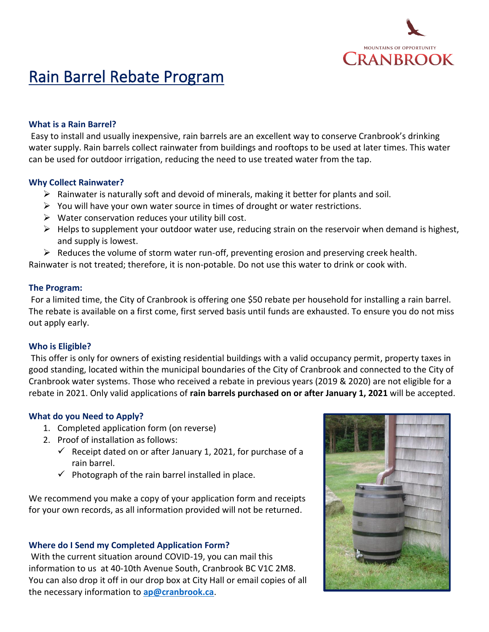

# Rain Barrel Rebate Program

#### **What is a Rain Barrel?**

Easy to install and usually inexpensive, rain barrels are an excellent way to conserve Cranbrook's drinking water supply. Rain barrels collect rainwater from buildings and rooftops to be used at later times. This water can be used for outdoor irrigation, reducing the need to use treated water from the tap.

#### **Why Collect Rainwater?**

- $\triangleright$  Rainwater is naturally soft and devoid of minerals, making it better for plants and soil.
- $\triangleright$  You will have your own water source in times of drought or water restrictions.
- $\triangleright$  Water conservation reduces your utility bill cost.
- $\triangleright$  Helps to supplement your outdoor water use, reducing strain on the reservoir when demand is highest, and supply is lowest.
- $\triangleright$  Reduces the volume of storm water run-off, preventing erosion and preserving creek health.

Rainwater is not treated; therefore, it is non-potable. Do not use this water to drink or cook with.

#### **The Program:**

For a limited time, the City of Cranbrook is offering one \$50 rebate per household for installing a rain barrel. The rebate is available on a first come, first served basis until funds are exhausted. To ensure you do not miss out apply early.

#### **Who is Eligible?**

This offer is only for owners of existing residential buildings with a valid occupancy permit, property taxes in good standing, located within the municipal boundaries of the City of Cranbrook and connected to the City of Cranbrook water systems. Those who received a rebate in previous years (2019 & 2020) are not eligible for a rebate in 2021. Only valid applications of **rain barrels purchased on or after January 1, 2021** will be accepted.

#### **What do you Need to Apply?**

- 1. Completed application form (on reverse)
- 2. Proof of installation as follows:
	- $\checkmark$  Receipt dated on or after January 1, 2021, for purchase of a rain barrel.
	- $\checkmark$  Photograph of the rain barrel installed in place.

We recommend you make a copy of your application form and receipts for your own records, as all information provided will not be returned.

#### **Where do I Send my Completed Application Form?**

With the current situation around COVID-19, you can mail this information to us at 40-10th Avenue South, Cranbrook BC V1C 2M8. You can also drop it off in our drop box at City Hall or email copies of all the necessary information to **[ap@cranbrook.ca](mailto:ap@cranbrook.ca?subject=2020%20Rain%20Barrel%20Rebate)**.